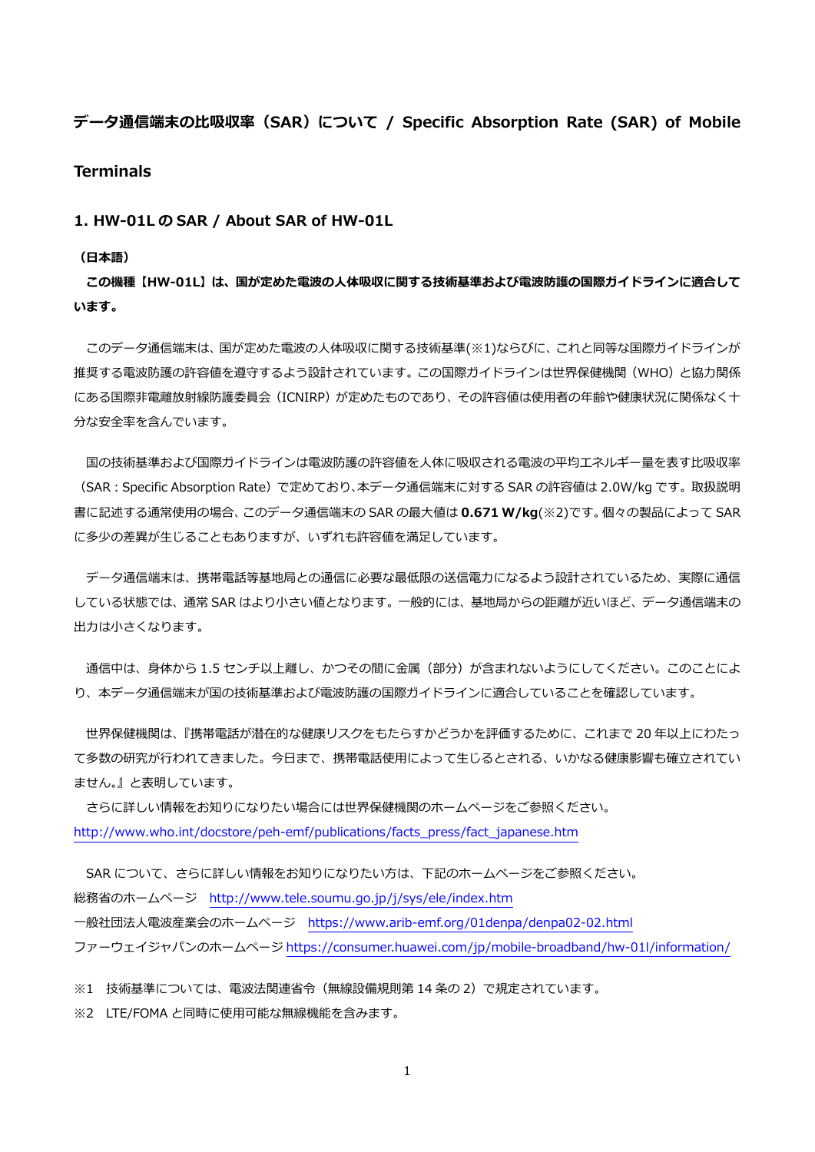# **データ通信端末の⽐吸収率(SAR)について / Specific Absorption Rate (SAR) of Mobile Terminals**

**1. HW-01L の SAR / About SAR of HW-01L** 

#### **(⽇本語)**

**この機種【HW-01L】は、国が定めた電波の⼈体吸収に関する技術基準および電波防護の国際ガイドラインに適合して います。** 

 このデータ通信端末は、国が定めた電波の⼈体吸収に関する技術基準(※1)ならびに、これと同等な国際ガイドラインが 推奨する電波防護の許容値を遵守するよう設計されています。この国際ガイドラインは世界保健機関(WHO)と協力関係 にある国際非電離放射線防護委員会(ICNIRP)が定めたものであり、その許容値は使用者の年齢や健康状況に関係なく十 分な安全率を含んでいます。

国の技術基準および国際ガイドラインは電波防護の許容値を人体に吸収される電波の平均エネルギー量を表す比吸収率 (SAR︓Specific Absorption Rate)で定めており、本データ通信端末に対する SAR の許容値は 2.0W/kg です。取扱説明 書に記述する通常使⽤の場合、このデータ通信端末の SAR の最⼤値は **0.671 W/kg**(※2)です。個々の製品によって SAR に多少の差異が生じることもありますが、いずれも許容値を満足しています。

 データ通信端末は、携帯電話等基地局との通信に必要な最低限の送信電⼒になるよう設計されているため、実際に通信 している状態では、通常 SAR はより⼩さい値となります。⼀般的には、基地局からの距離が近いほど、データ通信端末の 出力は小さくなります。

通信中は、身体から 1.5 センチ以上離し、かつその間に金属 (部分) が含まれないようにしてください。このことによ り、本データ通信端末が国の技術基準および電波防護の国際ガイドラインに適合していることを確認しています。

 世界保健機関は、『携帯電話が潜在的な健康リスクをもたらすかどうかを評価するために、これまで 20 年以上にわたっ て多数の研究が行われてきました。今日まで、携帯電話使用によって生じるとされる、いかなる健康影響も確立されてい ません。』と表明しています。

 さらに詳しい情報をお知りになりたい場合には世界保健機関のホームページをご参照ください。 http://www.who.int/docstore/peh-emf/publications/facts\_press/fact\_japanese.htm

SAR について、さらに詳しい情報をお知りになりたい方は、下記のホームページをご参照ください。 総務省のホームページ http://www.tele.soumu.go.jp/j/sys/ele/index.htm ⼀般社団法⼈電波産業会のホームページ https://www.arib-emf.org/01denpa/denpa02-02.html ファーウェイジャパンのホームページ https://consumer.huawei.com/jp/mobile-broadband/hw-01l/information/

※1 技術基準については、電波法関連省令(無線設備規則第 14 条の 2)で規定されています。

※2 LTE/FOMA と同時に使用可能な無線機能を含みます。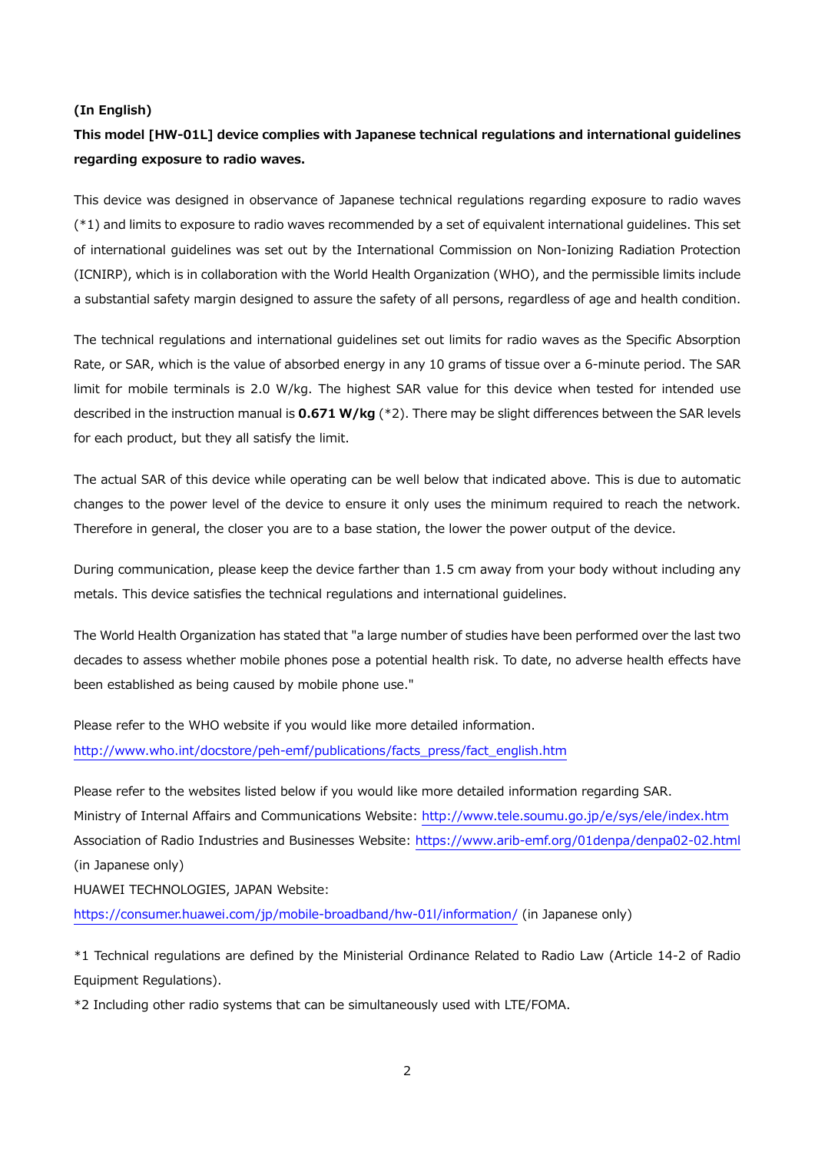#### **(In English)**

# **This model [HW-01L] device complies with Japanese technical regulations and international guidelines regarding exposure to radio waves.**

This device was designed in observance of Japanese technical regulations regarding exposure to radio waves (\*1) and limits to exposure to radio waves recommended by a set of equivalent international guidelines. This set of international guidelines was set out by the International Commission on Non-Ionizing Radiation Protection (ICNIRP), which is in collaboration with the World Health Organization (WHO), and the permissible limits include a substantial safety margin designed to assure the safety of all persons, regardless of age and health condition.

The technical regulations and international guidelines set out limits for radio waves as the Specific Absorption Rate, or SAR, which is the value of absorbed energy in any 10 grams of tissue over a 6-minute period. The SAR limit for mobile terminals is 2.0 W/kg. The highest SAR value for this device when tested for intended use described in the instruction manual is **0.671 W/kg** (\*2). There may be slight differences between the SAR levels for each product, but they all satisfy the limit.

The actual SAR of this device while operating can be well below that indicated above. This is due to automatic changes to the power level of the device to ensure it only uses the minimum required to reach the network. Therefore in general, the closer you are to a base station, the lower the power output of the device.

During communication, please keep the device farther than 1.5 cm away from your body without including any metals. This device satisfies the technical regulations and international guidelines.

The World Health Organization has stated that "a large number of studies have been performed over the last two decades to assess whether mobile phones pose a potential health risk. To date, no adverse health effects have been established as being caused by mobile phone use."

Please refer to the WHO website if you would like more detailed information. http://www.who.int/docstore/peh-emf/publications/facts\_press/fact\_english.htm

Please refer to the websites listed below if you would like more detailed information regarding SAR. Ministry of Internal Affairs and Communications Website: http://www.tele.soumu.go.jp/e/sys/ele/index.htm Association of Radio Industries and Businesses Website: https://www.arib-emf.org/01denpa/denpa02-02.html (in Japanese only)

HUAWEI TECHNOLOGIES, JAPAN Website:

https://consumer.huawei.com/jp/mobile-broadband/hw-01l/information/ (in Japanese only)

\*1 Technical regulations are defined by the Ministerial Ordinance Related to Radio Law (Article 14-2 of Radio Equipment Regulations).

\*2 Including other radio systems that can be simultaneously used with LTE/FOMA.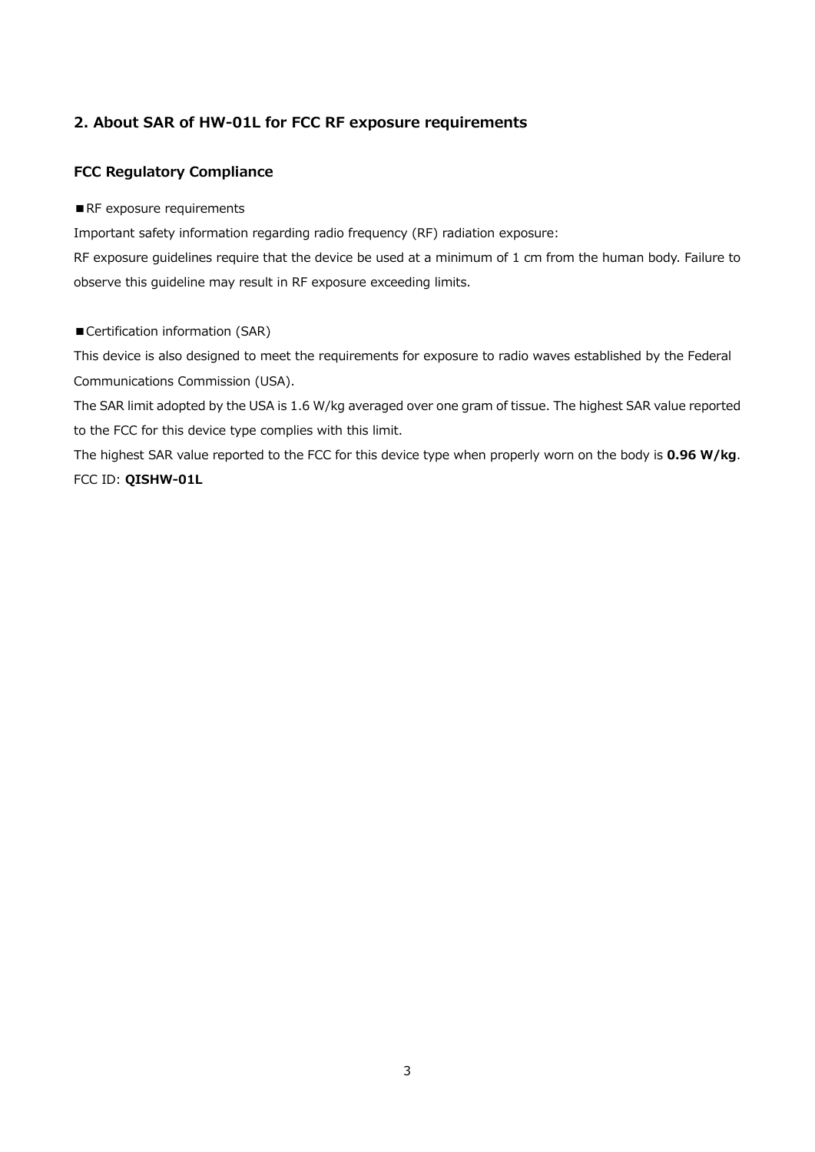# **2. About SAR of HW-01L for FCC RF exposure requirements**

# **FCC Regulatory Compliance**

#### ■RF exposure requirements

Important safety information regarding radio frequency (RF) radiation exposure:

RF exposure guidelines require that the device be used at a minimum of 1 cm from the human body. Failure to observe this guideline may result in RF exposure exceeding limits.

## ■ Certification information (SAR)

This device is also designed to meet the requirements for exposure to radio waves established by the Federal Communications Commission (USA).

The SAR limit adopted by the USA is 1.6 W/kg averaged over one gram of tissue. The highest SAR value reported to the FCC for this device type complies with this limit.

The highest SAR value reported to the FCC for this device type when properly worn on the body is **0.96 W/kg**. FCC ID: **QISHW-01L**